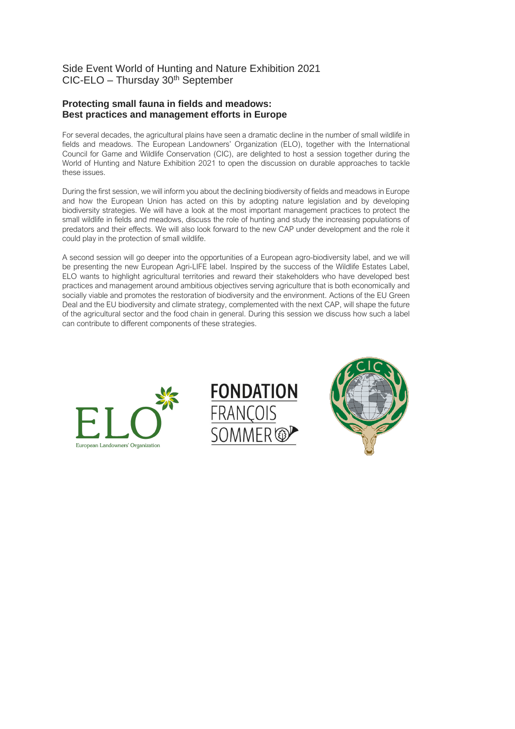## Side Event World of Hunting and Nature Exhibition 2021 CIC-ELO – Thursday 30th September

### **Protecting small fauna in fields and meadows: Best practices and management efforts in Europe**

For several decades, the agricultural plains have seen a dramatic decline in the number of small wildlife in fields and meadows. The European Landowners' Organization (ELO), together with the International Council for Game and Wildlife Conservation (CIC), are delighted to host a session together during the World of Hunting and Nature Exhibition 2021 to open the discussion on durable approaches to tackle these issues.

During the first session, we will inform you about the declining biodiversity of fields and meadows in Europe and how the European Union has acted on this by adopting nature legislation and by developing biodiversity strategies. We will have a look at the most important management practices to protect the small wildlife in fields and meadows, discuss the role of hunting and study the increasing populations of predators and their effects. We will also look forward to the new CAP under development and the role it could play in the protection of small wildlife.

A second session will go deeper into the opportunities of a European agro-biodiversity label, and we will be presenting the new European Agri-LIFE label. Inspired by the success of the Wildlife Estates Label, ELO wants to highlight agricultural territories and reward their stakeholders who have developed best practices and management around ambitious objectives serving agriculture that is both economically and socially viable and promotes the restoration of biodiversity and the environment. Actions of the EU Green Deal and the EU biodiversity and climate strategy, complemented with the next CAP, will shape the future of the agricultural sector and the food chain in general. During this session we discuss how such a label can contribute to different components of these strategies.





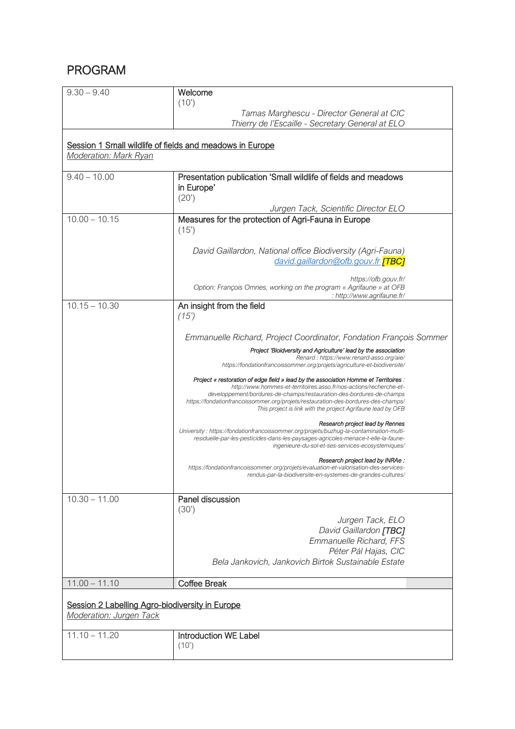# PROGRAM

| $9.30 - 9.40$                                                                                                               | Welcome<br>(10)                                                                                                                                                                                                                                                                                                                                                                        |  |
|-----------------------------------------------------------------------------------------------------------------------------|----------------------------------------------------------------------------------------------------------------------------------------------------------------------------------------------------------------------------------------------------------------------------------------------------------------------------------------------------------------------------------------|--|
|                                                                                                                             | Tamas Marghescu - Director General at CIC<br>Thierry de l'Escaille - Secretary General at ELO                                                                                                                                                                                                                                                                                          |  |
| Session 1 Small wildlife of fields and meadows in Europe<br><b>Moderation: Mark Ryan</b>                                    |                                                                                                                                                                                                                                                                                                                                                                                        |  |
| $9.40 - 10.00$                                                                                                              | Presentation publication 'Small wildlife of fields and meadows<br>in Europe'<br>(20')<br>Jurgen Tack, Scientific Director ELO                                                                                                                                                                                                                                                          |  |
| $10.00 - 10.15$                                                                                                             | Measures for the protection of Agri-Fauna in Europe<br>(15)                                                                                                                                                                                                                                                                                                                            |  |
|                                                                                                                             | David Gaillardon, National office Biodiversity (Agri-Fauna)<br>david.gaillardon@ofb.gouv.fr <b>[TBC]</b>                                                                                                                                                                                                                                                                               |  |
|                                                                                                                             | https://ofb.gouv.fr/<br>Option: François Omnes, working on the program « Agrifaune » at OFB<br>: http://www.agrifaune.fr/                                                                                                                                                                                                                                                              |  |
| $10.15 - 10.30$                                                                                                             | An insight from the field<br>(15)                                                                                                                                                                                                                                                                                                                                                      |  |
|                                                                                                                             | Emmanuelle Richard, Project Coordinator, Fondation François Sommer                                                                                                                                                                                                                                                                                                                     |  |
|                                                                                                                             | Project 'Bioidversity and Agriculture' lead by the association<br>Renard: https://www.renard-asso.org/aie/<br>https://fondationfrancoissommer.org/projets/agriculture-et-biodiversite/                                                                                                                                                                                                 |  |
|                                                                                                                             | Project « restoration of edge field » lead by the association Homme et Territoires :<br>http://www.hommes-et-territoires.asso.fr/nos-actions/recherche-et-<br>developpement/bordures-de-champs/restauration-des-bordures-de-champs<br>https://fondationfrancoissommer.org/projets/restauration-des-bordures-des-champs/<br>This project is link with the project Agrifaune lead by OFB |  |
|                                                                                                                             | Research project lead by Rennes<br>University: https://fondationfrancoissommer.org/projets/buzhug-la-contamination-multi-<br>residuelle-par-les-pesticides-dans-les-paysages-agricoles-menace-t-elle-la-faune-<br>ingenieure-du-sol-et-ses-services-ecosystemiques/                                                                                                                    |  |
|                                                                                                                             | Research project lead by INRAe :<br>https://fondationfrancoissommer.org/projets/evaluation-et-valorisation-des-services-<br>rendus-par-la-biodiversite-en-systemes-de-grandes-cultures/                                                                                                                                                                                                |  |
| $10.30 - 11.00$                                                                                                             | Panel discussion<br>(30')<br>Jurgen Tack, ELO<br>David Gaillardon [TBC]<br>Emmanuelle Richard, FFS<br>Péter Pál Hajas, CIC<br>Bela Jankovich, Jankovich Birtok Sustainable Estate                                                                                                                                                                                                      |  |
|                                                                                                                             |                                                                                                                                                                                                                                                                                                                                                                                        |  |
| <b>Coffee Break</b><br>$11.00 - 11.10$<br>Session 2 Labelling Agro-biodiversity in Europe<br><b>Moderation: Jurgen Tack</b> |                                                                                                                                                                                                                                                                                                                                                                                        |  |
| $11.10 - 11.20$                                                                                                             | <b>Introduction WE Label</b><br>(10)                                                                                                                                                                                                                                                                                                                                                   |  |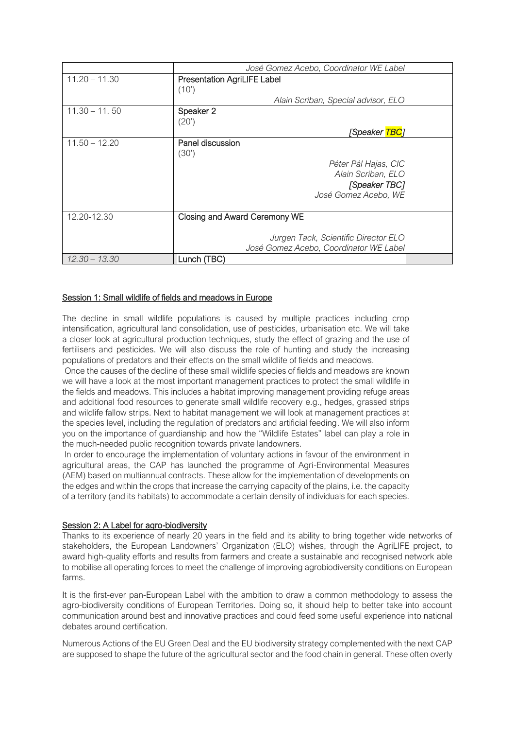|                 | José Gomez Acebo, Coordinator WE Label                                                                           |
|-----------------|------------------------------------------------------------------------------------------------------------------|
| $11.20 - 11.30$ | <b>Presentation AgriLIFE Label</b><br>(10)                                                                       |
|                 | Alain Scriban, Special advisor, ELO                                                                              |
| $11.30 - 11.50$ | Speaker 2<br>(20')                                                                                               |
|                 | [Speaker <mark>TBC</mark> ]                                                                                      |
| $11.50 - 12.20$ | Panel discussion<br>(30')<br>Péter Pál Hajas, CIC<br>Alain Scriban, ELO<br>[Speaker TBC]<br>José Gomez Acebo, WE |
| 12.20-12.30     | Closing and Award Ceremony WE<br>Jurgen Tack, Scientific Director ELO<br>José Gomez Acebo, Coordinator WE Label  |
| $12.30 - 13.30$ | Lunch (TBC)                                                                                                      |

#### Session 1: Small wildlife of fields and meadows in Europe

The decline in small wildlife populations is caused by multiple practices including crop intensification, agricultural land consolidation, use of pesticides, urbanisation etc. We will take a closer look at agricultural production techniques, study the effect of grazing and the use of fertilisers and pesticides. We will also discuss the role of hunting and study the increasing populations of predators and their effects on the small wildlife of fields and meadows.

Once the causes of the decline of these small wildlife species of fields and meadows are known we will have a look at the most important management practices to protect the small wildlife in the fields and meadows. This includes a habitat improving management providing refuge areas and additional food resources to generate small wildlife recovery e.g., hedges, grassed strips and wildlife fallow strips. Next to habitat management we will look at management practices at the species level, including the regulation of predators and artificial feeding. We will also inform you on the importance of guardianship and how the "Wildlife Estates" label can play a role in the much-needed public recognition towards private landowners.

In order to encourage the implementation of voluntary actions in favour of the environment in agricultural areas, the CAP has launched the programme of Agri-Environmental Measures (AEM) based on multiannual contracts. These allow for the implementation of developments on the edges and within the crops that increase the carrying capacity of the plains, i.e. the capacity of a territory (and its habitats) to accommodate a certain density of individuals for each species.

### Session 2: A Label for agro-biodiversity

Thanks to its experience of nearly 20 years in the field and its ability to bring together wide networks of stakeholders, the European Landowners' Organization (ELO) wishes, through the AgriLIFE project, to award high-quality efforts and results from farmers and create a sustainable and recognised network able to mobilise all operating forces to meet the challenge of improving agrobiodiversity conditions on European farms.

It is the first-ever pan-European Label with the ambition to draw a common methodology to assess the agro-biodiversity conditions of European Territories. Doing so, it should help to better take into account communication around best and innovative practices and could feed some useful experience into national debates around certification.

Numerous Actions of the EU Green Deal and the EU biodiversity strategy complemented with the next CAP are supposed to shape the future of the agricultural sector and the food chain in general. These often overly